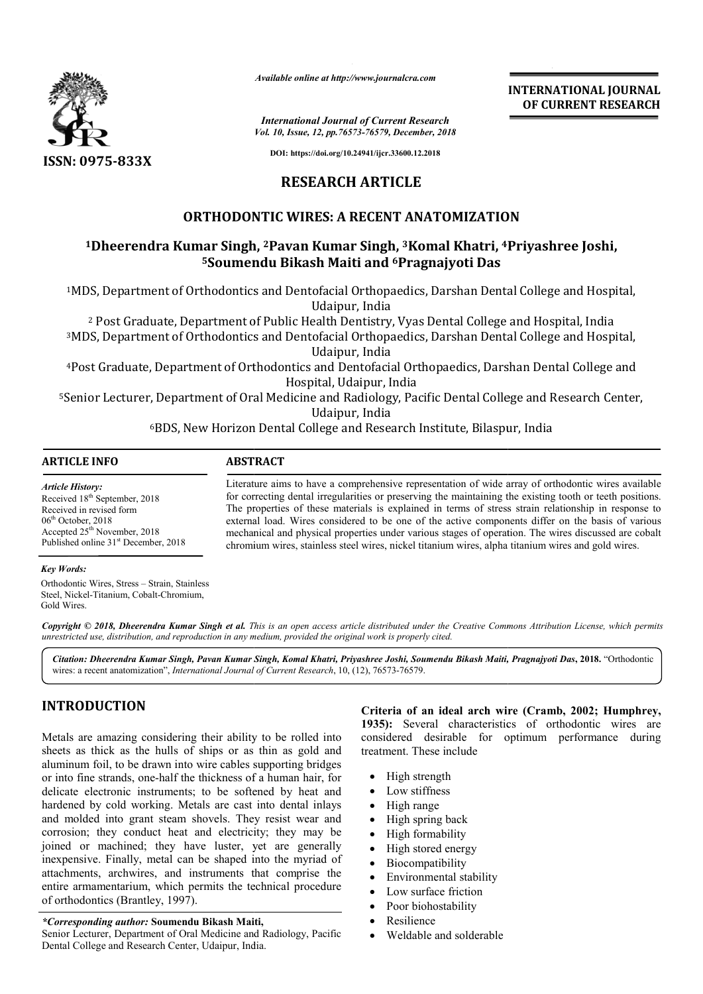

*Available online at http://www.journalcra.com*

*International Journal of Current Research Vol. 10, Issue, 12, pp.76573-76579, December, 2018* **INTERNATIONAL JOURNAL OF CURRENT RESEARCH**

**DOI: https://doi.org/10.24941/ijcr.33600.12.2018**

## **RESEARCH ARTICLE**

## **ORTHODONTIC WIRES: A RECENT ANATOMIZATION**

# <sup>1</sup>Dheerendra Kumar Singh, <sup>2</sup>Pavan Kumar Singh, <sup>3</sup>Komal Khatri, <sup>4</sup>Priyashree Joshi, **5Soumendu Soumendu Bikash Maiti and 6Pragnajyoti Das**

1MDS, Department of Orthodontics and Dentofacial Orthopaedics, Darshan Dental College and Hospital, MDS, Udaipur, India

<sup>2</sup> Post Graduate, Department of Public Health Dentistry, Vyas Dental College and Hospital, India

<sup>3</sup>MDS, Department of Orthodontics and Dentofacial Orthopaedics, Darshan Dental College and Hospital,<br>Udaipur, India

4Post Graduate, Department of Orthodontics and Dentofacial Orthopaedics, Darshan Dental College and Post Hospital, Udaipur, India

5Senior Lecturer, Department of Oral Medicine and Radiology, Pacific Dental College and Research Center, Udaipur, India Orthopaedics, Darshan Dental College and Hospital,<br>Department of Public Health Dentistry, Vyas Dental College and Hospital, India<br>Department of Orthodontics and Dentofacial Orthopaedics, Darshan Dental College and Hospital

6BDS, New Horizon Dental College and Research Institute, Bilaspur, India

## **ARTICLE INFO ABSTRACT**

*Article History:* Received 18<sup>th</sup> September, 2018 Received in revised form 06<sup>th</sup> October, 2018 Accepted 25<sup>th</sup> November, 2018 Published online 31<sup>st</sup> December, 2018

Literature aims to have a comprehensive representation of wide array of orthodontic wires available for correcting dental irregularities or preserving the maintaining the existing tooth or teeth positions. The properties of these materials is explained in terms of stress strain relationship in response to external load. Wires considered to be one of the active components differ on the basis of various mechanical and physical properties under various stages of operation. The wires discussed are cobalt mechanical and physical properties under various stages of operation. The wires discussed are c<br>chromium wires, stainless steel wires, nickel titanium wires, alpha titanium wires and gold wires. Literature aims to have a comprehensive representation of wide array of orthodontic wires available for correcting dental irregularities or preserving the maintaining the existing tooth or teeth positions. The properties o INTERNATIONAL JOURNAL<br>
INTERNATIONAL DURNAL<br>
OF CURRENT RESEARCH<br>
oember, 2018<br>
06.12.2018<br>
108.21.2018<br>
2018.<br>
2018<br>
2018. Darshan Dental College and Hospital,<br>
7ragnajyoti Das<br>
dics, Darshan Dental College and Hospital,<br>

### *Key Words:*

Orthodontic Wires, Stress – Strain, Stainless Steel, Nickel-Titanium, Cobalt-Chromium, Gold Wires.

Copyright © 2018, Dheerendra Kumar Singh et al. This is an open access article distributed under the Creative Commons Attribution License, which permits *unrestricted use, distribution, and reproduction in any medium, provided the original work is properly cited.*

*Citation: Dheerendra Kumar Singh, Pavan Kumar Singh, Komal Khatri, Priyashree Joshi, Soumendu Bikash Maiti, Pragnajyoti Das Khatri, Priyashree* **, 2018.** "Orthodontic wires: a recent anatomization", *International Journal of Current Research* , 10, (12), 76573-76579.

## **INTRODUCTION**

Metals are amazing considering their ability to be rolled into sheets as thick as the hulls of ships or as thin as gold and aluminum foil, to be drawn into wire cables supporting bridges or into fine strands, one-half the thickness of a human hair, for delicate electronic instruments; to be softened by heat and hardened by cold working. Metals are cast into dental inlays and molded into grant steam shovels. They resist wear and corrosion; they conduct heat and electricity; they may be joined or machined; they have luster, yet are generally inexpensive. Finally, metal can be shaped into the myriad of attachments, archwires, and instruments that comprise the entire armamentarium, which permits the technical procedure of orthodontics (Brantley, 1997). ds, one-half the thickness c<br>ic instruments; to be sof<br>d working. Metals are cas<br>b grant steam shovels. Th<br>conduct heat and electric<br>inned; they have luster,<br>ally, metal can be shaped

**Criteria of an ideal arch wire (Cramb, 2002; Humphrey, 1935):** Several characteristics of orthodontic wires are considered desirable for optimum performance during treatment. These include

- High strength
- Low stiffness
- High range
- High spring back
- High formability
- High stored energy
- Biocompatibility
- Environmental stability
- Low surface friction
- Poor biohostability
- Resilience
- Weldable and solderable

*<sup>\*</sup>Corresponding author:* **Soumendu Bikash Maiti Maiti,**

Senior Lecturer, Department of Oral Medicine and Radiology, Pacific Dental College and Research Center, Udaipur, India.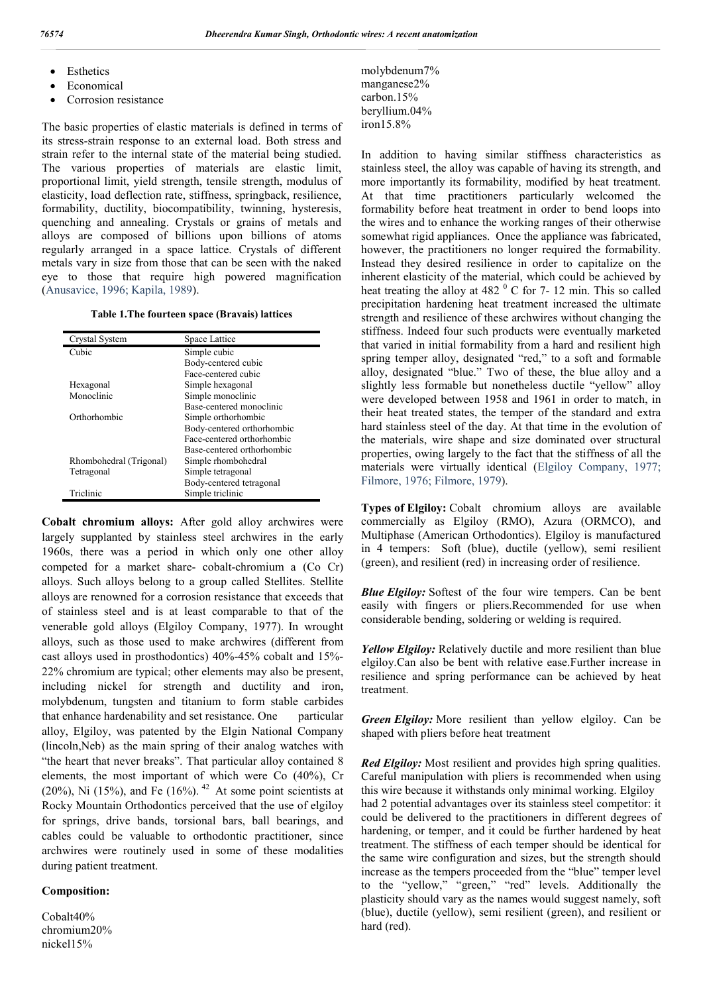- Esthetics
- Economical
- Corrosion resistance

The basic properties of elastic materials is defined in terms of its stress-strain response to an external load. Both stress and strain refer to the internal state of the material being studied. The various properties of materials are elastic limit, proportional limit, yield strength, tensile strength, modulus of elasticity, load deflection rate, stiffness, springback, resilience, formability, ductility, biocompatibility, twinning, hysteresis, quenching and annealing. Crystals or grains of metals and alloys are composed of billions upon billions of atoms regularly arranged in a space lattice. Crystals of different metals vary in size from those that can be seen with the naked eye to those that require high powered magnification (Anusavice, 1996; Kapila, 1989).

#### **Table 1.The fourteen space (Bravais) lattices**

| Crystal System          | Space Lattice              |
|-------------------------|----------------------------|
| Cubic                   | Simple cubic               |
|                         | Body-centered cubic        |
|                         | Face-centered cubic        |
| Hexagonal               | Simple hexagonal           |
| Monoclinic              | Simple monoclinic          |
|                         | Base-centered monoclinic   |
| Orthorhombic            | Simple orthorhombic        |
|                         | Body-centered orthorhombic |
|                         | Face-centered orthorhombic |
|                         | Base-centered orthorhombic |
| Rhombohedral (Trigonal) | Simple rhombohedral        |
| Tetragonal              | Simple tetragonal          |
|                         | Body-centered tetragonal   |
| Triclinic               | Simple triclinic           |

**Cobalt chromium alloys:** After gold alloy archwires were largely supplanted by stainless steel archwires in the early 1960s, there was a period in which only one other alloy competed for a market share- cobalt-chromium a (Co Cr) alloys. Such alloys belong to a group called Stellites. Stellite alloys are renowned for a corrosion resistance that exceeds that of stainless steel and is at least comparable to that of the venerable gold alloys (Elgiloy Company, 1977). In wrought alloys, such as those used to make archwires (different from cast alloys used in prosthodontics) 40%-45% cobalt and 15%- 22% chromium are typical; other elements may also be present, including nickel for strength and ductility and iron, molybdenum, tungsten and titanium to form stable carbides that enhance hardenability and set resistance. One particular alloy, Elgiloy, was patented by the Elgin National Company (lincoln,Neb) as the main spring of their analog watches with "the heart that never breaks". That particular alloy contained 8 elements, the most important of which were Co (40%), Cr (20%), Ni (15%), and Fe (16%).  $42$  At some point scientists at Rocky Mountain Orthodontics perceived that the use of elgiloy for springs, drive bands, torsional bars, ball bearings, and cables could be valuable to orthodontic practitioner, since archwires were routinely used in some of these modalities during patient treatment.

### **Composition:**

Cobalt40% chromium20% nickel15%

molybdenum7% manganese2% carbon.15% beryllium.04% iron15.8%

In addition to having similar stiffness characteristics as stainless steel, the alloy was capable of having its strength, and more importantly its formability, modified by heat treatment. At that time practitioners particularly welcomed the formability before heat treatment in order to bend loops into the wires and to enhance the working ranges of their otherwise somewhat rigid appliances. Once the appliance was fabricated, however, the practitioners no longer required the formability. Instead they desired resilience in order to capitalize on the inherent elasticity of the material, which could be achieved by heat treating the alloy at 482  $\mathrm{^{0}}$  C for 7- 12 min. This so called precipitation hardening heat treatment increased the ultimate strength and resilience of these archwires without changing the stiffness. Indeed four such products were eventually marketed that varied in initial formability from a hard and resilient high spring temper alloy, designated "red," to a soft and formable alloy, designated "blue." Two of these, the blue alloy and a slightly less formable but nonetheless ductile "yellow" alloy were developed between 1958 and 1961 in order to match, in their heat treated states, the temper of the standard and extra hard stainless steel of the day. At that time in the evolution of the materials, wire shape and size dominated over structural properties, owing largely to the fact that the stiffness of all the materials were virtually identical (Elgiloy Company, 1977; Filmore, 1976; Filmore, 1979).

**Types of Elgiloy:** Cobalt chromium alloys are available commercially as Elgiloy (RMO), Azura (ORMCO), and Multiphase (American Orthodontics). Elgiloy is manufactured in 4 tempers: Soft (blue), ductile (yellow), semi resilient (green), and resilient (red) in increasing order of resilience.

*Blue Elgiloy:* Softest of the four wire tempers. Can be bent easily with fingers or pliers.Recommended for use when considerable bending, soldering or welding is required.

*Yellow Elgiloy:* Relatively ductile and more resilient than blue elgiloy.Can also be bent with relative ease.Further increase in resilience and spring performance can be achieved by heat treatment.

*Green Elgiloy:* More resilient than yellow elgiloy. Can be shaped with pliers before heat treatment

*Red Elgiloy:* Most resilient and provides high spring qualities. Careful manipulation with pliers is recommended when using this wire because it withstands only minimal working. Elgiloy had 2 potential advantages over its stainless steel competitor: it could be delivered to the practitioners in different degrees of hardening, or temper, and it could be further hardened by heat treatment. The stiffness of each temper should be identical for the same wire configuration and sizes, but the strength should increase as the tempers proceeded from the "blue" temper level to the "yellow," "green," "red" levels. Additionally the plasticity should vary as the names would suggest namely, soft (blue), ductile (yellow), semi resilient (green), and resilient or hard (red).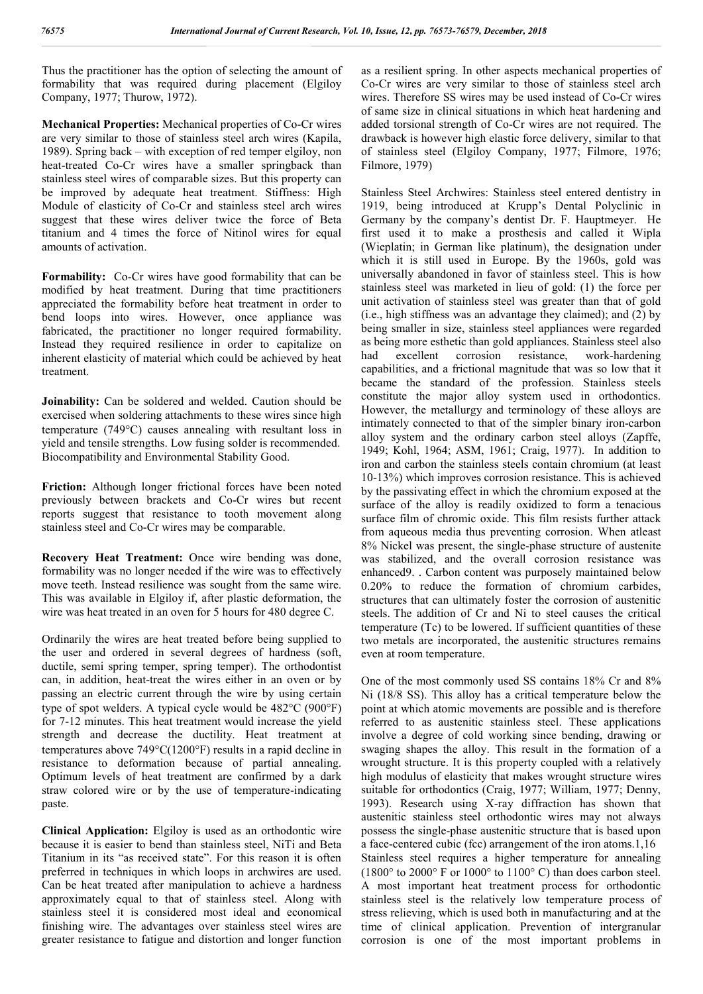Thus the practitioner has the option of selecting the amount of formability that was required during placement (Elgiloy Company, 1977; Thurow, 1972).

**Mechanical Properties:** Mechanical properties of Co-Cr wires are very similar to those of stainless steel arch wires (Kapila, 1989). Spring back – with exception of red temper elgiloy, non heat-treated Co-Cr wires have a smaller springback than stainless steel wires of comparable sizes. But this property can be improved by adequate heat treatment. Stiffness: High Module of elasticity of Co-Cr and stainless steel arch wires suggest that these wires deliver twice the force of Beta titanium and 4 times the force of Nitinol wires for equal amounts of activation.

**Formability:** Co-Cr wires have good formability that can be modified by heat treatment. During that time practitioners appreciated the formability before heat treatment in order to bend loops into wires. However, once appliance was fabricated, the practitioner no longer required formability. Instead they required resilience in order to capitalize on inherent elasticity of material which could be achieved by heat treatment.

**Joinability:** Can be soldered and welded. Caution should be exercised when soldering attachments to these wires since high temperature  $(749^{\circ}C)$  causes annealing with resultant loss in yield and tensile strengths. Low fusing solder is recommended. Biocompatibility and Environmental Stability Good.

**Friction:** Although longer frictional forces have been noted previously between brackets and Co-Cr wires but recent reports suggest that resistance to tooth movement along stainless steel and Co-Cr wires may be comparable.

**Recovery Heat Treatment:** Once wire bending was done, formability was no longer needed if the wire was to effectively move teeth. Instead resilience was sought from the same wire. This was available in Elgiloy if, after plastic deformation, the wire was heat treated in an oven for 5 hours for 480 degree C.

Ordinarily the wires are heat treated before being supplied to the user and ordered in several degrees of hardness (soft, ductile, semi spring temper, spring temper). The orthodontist can, in addition, heat-treat the wires either in an oven or by passing an electric current through the wire by using certain type of spot welders. A typical cycle would be 482°C (900°F) for 7-12 minutes. This heat treatment would increase the yield strength and decrease the ductility. Heat treatment at temperatures above  $749^{\circ}C(1200^{\circ}F)$  results in a rapid decline in resistance to deformation because of partial annealing. Optimum levels of heat treatment are confirmed by a dark straw colored wire or by the use of temperature-indicating paste.

**Clinical Application:** Elgiloy is used as an orthodontic wire because it is easier to bend than stainless steel, NiTi and Beta Titanium in its "as received state". For this reason it is often preferred in techniques in which loops in archwires are used. Can be heat treated after manipulation to achieve a hardness approximately equal to that of stainless steel. Along with stainless steel it is considered most ideal and economical finishing wire. The advantages over stainless steel wires are greater resistance to fatigue and distortion and longer function

as a resilient spring. In other aspects mechanical properties of Co-Cr wires are very similar to those of stainless steel arch wires. Therefore SS wires may be used instead of Co-Cr wires of same size in clinical situations in which heat hardening and added torsional strength of Co-Cr wires are not required. The drawback is however high elastic force delivery, similar to that of stainless steel (Elgiloy Company, 1977; Filmore, 1976; Filmore, 1979)

Stainless Steel Archwires: Stainless steel entered dentistry in 1919, being introduced at Krupp's Dental Polyclinic in Germany by the company's dentist Dr. F. Hauptmeyer. He first used it to make a prosthesis and called it Wipla (Wieplatin; in German like platinum), the designation under which it is still used in Europe. By the 1960s, gold was universally abandoned in favor of stainless steel. This is how stainless steel was marketed in lieu of gold: (1) the force per unit activation of stainless steel was greater than that of gold (i.e., high stiffness was an advantage they claimed); and (2) by being smaller in size, stainless steel appliances were regarded as being more esthetic than gold appliances. Stainless steel also had excellent corrosion resistance, work-hardening capabilities, and a frictional magnitude that was so low that it became the standard of the profession. Stainless steels constitute the major alloy system used in orthodontics. However, the metallurgy and terminology of these alloys are intimately connected to that of the simpler binary iron-carbon alloy system and the ordinary carbon steel alloys (Zapffe, 1949; Kohl, 1964; ASM, 1961; Craig, 1977). In addition to iron and carbon the stainless steels contain chromium (at least 10-13%) which improves corrosion resistance. This is achieved by the passivating effect in which the chromium exposed at the surface of the alloy is readily oxidized to form a tenacious surface film of chromic oxide. This film resists further attack from aqueous media thus preventing corrosion. When atleast 8% Nickel was present, the single-phase structure of austenite was stabilized, and the overall corrosion resistance was enhanced9. . Carbon content was purposely maintained below 0.20% to reduce the formation of chromium carbides, structures that can ultimately foster the corrosion of austenitic steels. The addition of Cr and Ni to steel causes the critical temperature (Tc) to be lowered. If sufficient quantities of these two metals are incorporated, the austenitic structures remains even at room temperature.

One of the most commonly used SS contains 18% Cr and 8% Ni (18/8 SS). This alloy has a critical temperature below the point at which atomic movements are possible and is therefore referred to as austenitic stainless steel. These applications involve a degree of cold working since bending, drawing or swaging shapes the alloy. This result in the formation of a wrought structure. It is this property coupled with a relatively high modulus of elasticity that makes wrought structure wires suitable for orthodontics (Craig, 1977; William, 1977; Denny, 1993). Research using X-ray diffraction has shown that austenitic stainless steel orthodontic wires may not always possess the single-phase austenitic structure that is based upon a face-centered cubic (fcc) arrangement of the iron atoms.1,16 Stainless steel requires a higher temperature for annealing (1800 $\degree$  to 2000 $\degree$  F or 1000 $\degree$  to 1100 $\degree$  C) than does carbon steel. A most important heat treatment process for orthodontic stainless steel is the relatively low temperature process of stress relieving, which is used both in manufacturing and at the time of clinical application. Prevention of intergranular corrosion is one of the most important problems in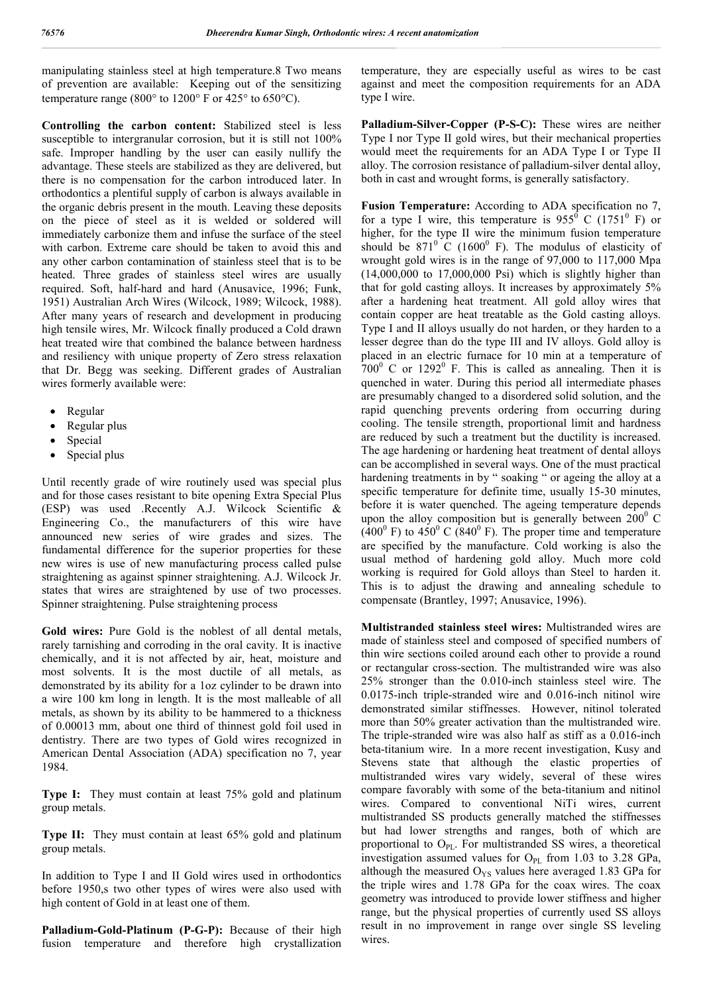manipulating stainless steel at high temperature.8 Two means of prevention are available: Keeping out of the sensitizing temperature range (800 $^{\circ}$  to 1200 $^{\circ}$  F or 425 $^{\circ}$  to 650 $^{\circ}$ C).

**Controlling the carbon content:** Stabilized steel is less susceptible to intergranular corrosion, but it is still not 100% safe. Improper handling by the user can easily nullify the advantage. These steels are stabilized as they are delivered, but there is no compensation for the carbon introduced later. In orthodontics a plentiful supply of carbon is always available in the organic debris present in the mouth. Leaving these deposits on the piece of steel as it is welded or soldered will immediately carbonize them and infuse the surface of the steel with carbon. Extreme care should be taken to avoid this and any other carbon contamination of stainless steel that is to be heated. Three grades of stainless steel wires are usually required. Soft, half-hard and hard (Anusavice, 1996; Funk, 1951) Australian Arch Wires (Wilcock, 1989; Wilcock, 1988). After many years of research and development in producing high tensile wires, Mr. Wilcock finally produced a Cold drawn heat treated wire that combined the balance between hardness and resiliency with unique property of Zero stress relaxation that Dr. Begg was seeking. Different grades of Australian wires formerly available were:

- Regular
- Regular plus
- Special
- Special plus

Until recently grade of wire routinely used was special plus and for those cases resistant to bite opening Extra Special Plus (ESP) was used .Recently A.J. Wilcock Scientific & Engineering Co., the manufacturers of this wire have announced new series of wire grades and sizes. The fundamental difference for the superior properties for these new wires is use of new manufacturing process called pulse straightening as against spinner straightening. A.J. Wilcock Jr. states that wires are straightened by use of two processes. Spinner straightening. Pulse straightening process

**Gold wires:** Pure Gold is the noblest of all dental metals, rarely tarnishing and corroding in the oral cavity. It is inactive chemically, and it is not affected by air, heat, moisture and most solvents. It is the most ductile of all metals, as demonstrated by its ability for a 1oz cylinder to be drawn into a wire 100 km long in length. It is the most malleable of all metals, as shown by its ability to be hammered to a thickness of 0.00013 mm, about one third of thinnest gold foil used in dentistry. There are two types of Gold wires recognized in American Dental Association (ADA) specification no 7, year 1984.

**Type I:** They must contain at least 75% gold and platinum group metals.

**Type II:** They must contain at least 65% gold and platinum group metals.

In addition to Type I and II Gold wires used in orthodontics before 1950,s two other types of wires were also used with high content of Gold in at least one of them.

**Palladium-Gold-Platinum (P-G-P):** Because of their high fusion temperature and therefore high crystallization temperature, they are especially useful as wires to be cast against and meet the composition requirements for an ADA type I wire.

**Palladium-Silver-Copper (P-S-C):** These wires are neither Type I nor Type II gold wires, but their mechanical properties would meet the requirements for an ADA Type I or Type II alloy. The corrosion resistance of palladium-silver dental alloy, both in cast and wrought forms, is generally satisfactory.

**Fusion Temperature:** According to ADA specification no 7, for a type I wire, this temperature is  $955^{\circ}$  C (1751<sup>°</sup> F) or higher, for the type II wire the minimum fusion temperature should be  $871^{\circ}$  C (1600<sup>°</sup> F). The modulus of elasticity of wrought gold wires is in the range of 97,000 to 117,000 Mpa (14,000,000 to 17,000,000 Psi) which is slightly higher than that for gold casting alloys. It increases by approximately 5% after a hardening heat treatment. All gold alloy wires that contain copper are heat treatable as the Gold casting alloys. Type I and II alloys usually do not harden, or they harden to a lesser degree than do the type III and IV alloys. Gold alloy is placed in an electric furnace for 10 min at a temperature of  $700^{\circ}$  C or 1292<sup>°</sup> F. This is called as annealing. Then it is quenched in water. During this period all intermediate phases are presumably changed to a disordered solid solution, and the rapid quenching prevents ordering from occurring during cooling. The tensile strength, proportional limit and hardness are reduced by such a treatment but the ductility is increased. The age hardening or hardening heat treatment of dental alloys can be accomplished in several ways. One of the must practical hardening treatments in by " soaking " or ageing the alloy at a specific temperature for definite time, usually 15-30 minutes, before it is water quenched. The ageing temperature depends upon the alloy composition but is generally between  $200^{\circ}$  C  $(400^{\circ}$  F) to  $450^{\circ}$  C (840<sup>°</sup> F). The proper time and temperature are specified by the manufacture. Cold working is also the usual method of hardening gold alloy. Much more cold working is required for Gold alloys than Steel to harden it. This is to adjust the drawing and annealing schedule to compensate (Brantley, 1997; Anusavice, 1996).

**Multistranded stainless steel wires:** Multistranded wires are made of stainless steel and composed of specified numbers of thin wire sections coiled around each other to provide a round or rectangular cross-section. The multistranded wire was also 25% stronger than the 0.010-inch stainless steel wire. The 0.0175-inch triple-stranded wire and 0.016-inch nitinol wire demonstrated similar stiffnesses. However, nitinol tolerated more than 50% greater activation than the multistranded wire. The triple-stranded wire was also half as stiff as a 0.016-inch beta-titanium wire. In a more recent investigation, Kusy and Stevens state that although the elastic properties of multistranded wires vary widely, several of these wires compare favorably with some of the beta-titanium and nitinol wires. Compared to conventional NiTi wires, current multistranded SS products generally matched the stiffnesses but had lower strengths and ranges, both of which are proportional to  $O_{\text{PL}}$ . For multistranded SS wires, a theoretical investigation assumed values for  $O_{PL}$  from 1.03 to 3.28 GPa, although the measured  $O_{YS}$  values here averaged 1.83 GPa for the triple wires and 1.78 GPa for the coax wires. The coax geometry was introduced to provide lower stiffness and higher range, but the physical properties of currently used SS alloys result in no improvement in range over single SS leveling wires.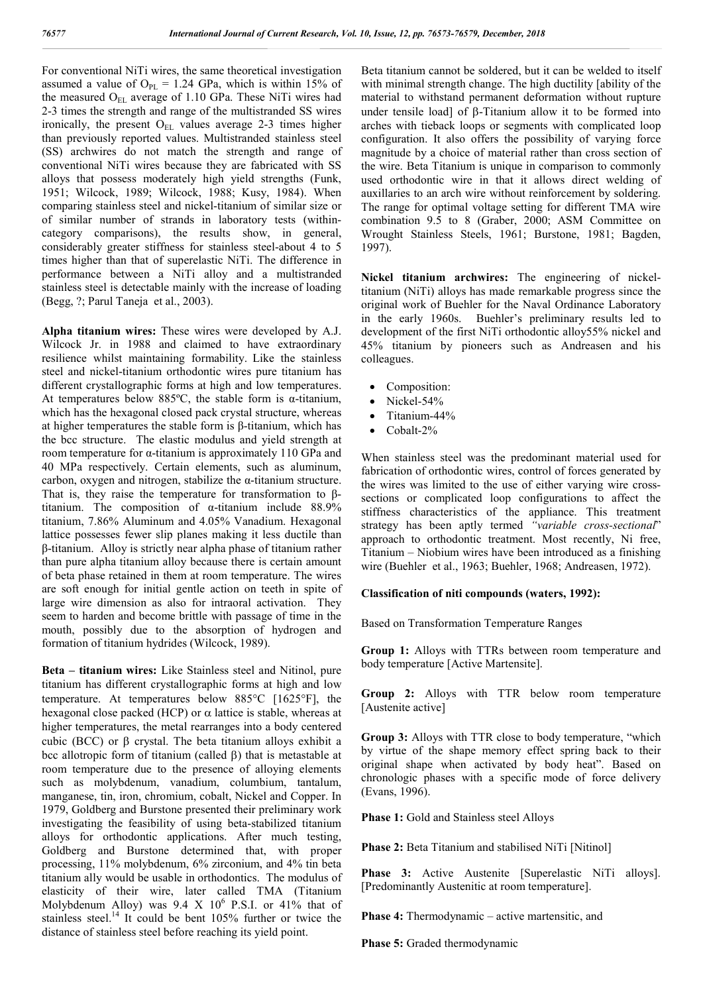For conventional NiTi wires, the same theoretical investigation assumed a value of  $O_{PL} = 1.24$  GPa, which is within 15% of the measured  $O_{EL}$  average of 1.10 GPa. These NiTi wires had 2-3 times the strength and range of the multistranded SS wires ironically, the present  $O_{EL}$  values average 2-3 times higher than previously reported values. Multistranded stainless steel (SS) archwires do not match the strength and range of conventional NiTi wires because they are fabricated with SS alloys that possess moderately high yield strengths (Funk, 1951; Wilcock, 1989; Wilcock, 1988; Kusy, 1984). When comparing stainless steel and nickel-titanium of similar size or of similar number of strands in laboratory tests (withincategory comparisons), the results show, in general, considerably greater stiffness for stainless steel-about 4 to 5 times higher than that of superelastic NiTi. The difference in performance between a NiTi alloy and a multistranded stainless steel is detectable mainly with the increase of loading (Begg, ?; Parul Taneja et al., 2003).

**Alpha titanium wires:** These wires were developed by A.J. Wilcock Jr. in 1988 and claimed to have extraordinary resilience whilst maintaining formability. Like the stainless steel and nickel-titanium orthodontic wires pure titanium has different crystallographic forms at high and low temperatures. At temperatures below 885ºC, the stable form is α-titanium, which has the hexagonal closed pack crystal structure, whereas at higher temperatures the stable form is β-titanium, which has the bcc structure. The elastic modulus and yield strength at room temperature for α-titanium is approximately 110 GPa and 40 MPa respectively. Certain elements, such as aluminum, carbon, oxygen and nitrogen, stabilize the α-titanium structure. That is, they raise the temperature for transformation to βtitanium. The composition of α-titanium include 88.9% titanium, 7.86% Aluminum and 4.05% Vanadium. Hexagonal lattice possesses fewer slip planes making it less ductile than β-titanium. Alloy is strictly near alpha phase of titanium rather than pure alpha titanium alloy because there is certain amount of beta phase retained in them at room temperature. The wires are soft enough for initial gentle action on teeth in spite of large wire dimension as also for intraoral activation. They seem to harden and become brittle with passage of time in the mouth, possibly due to the absorption of hydrogen and formation of titanium hydrides (Wilcock, 1989).

**Beta – titanium wires:** Like Stainless steel and Nitinol, pure titanium has different crystallographic forms at high and low temperature. At temperatures below  $885^{\circ}$ C [1625 $^{\circ}$ F], the hexagonal close packed (HCP) or  $\alpha$  lattice is stable, whereas at higher temperatures, the metal rearranges into a body centered cubic (BCC) or  $\beta$  crystal. The beta titanium alloys exhibit a bcc allotropic form of titanium (called  $\beta$ ) that is metastable at room temperature due to the presence of alloying elements such as molybdenum, vanadium, columbium, tantalum, manganese, tin, iron, chromium, cobalt, Nickel and Copper. In 1979, Goldberg and Burstone presented their preliminary work investigating the feasibility of using beta-stabilized titanium alloys for orthodontic applications. After much testing, Goldberg and Burstone determined that, with proper processing, 11% molybdenum, 6% zirconium, and 4% tin beta titanium ally would be usable in orthodontics. The modulus of elasticity of their wire, later called TMA (Titanium Molybdenum Alloy) was 9.4 X  $10^6$  P.S.I. or 41% that of stainless steel.<sup>14</sup> It could be bent 105% further or twice the distance of stainless steel before reaching its yield point.

Beta titanium cannot be soldered, but it can be welded to itself with minimal strength change. The high ductility [ability of the material to withstand permanent deformation without rupture under tensile load] of  $\beta$ -Titanium allow it to be formed into arches with tieback loops or segments with complicated loop configuration. It also offers the possibility of varying force magnitude by a choice of material rather than cross section of the wire. Beta Titanium is unique in comparison to commonly used orthodontic wire in that it allows direct welding of auxillaries to an arch wire without reinforcement by soldering. The range for optimal voltage setting for different TMA wire combination 9.5 to 8 (Graber, 2000; ASM Committee on Wrought Stainless Steels, 1961; Burstone, 1981; Bagden, 1997).

**Nickel titanium archwires:** The engineering of nickeltitanium (NiTi) alloys has made remarkable progress since the original work of Buehler for the Naval Ordinance Laboratory in the early 1960s. Buehler's preliminary results led to development of the first NiTi orthodontic alloy55% nickel and 45% titanium by pioneers such as Andreasen and his colleagues.

- Composition:
- Nickel-54%
- Titanium-44%
- Cobalt-2%

When stainless steel was the predominant material used for fabrication of orthodontic wires, control of forces generated by the wires was limited to the use of either varying wire crosssections or complicated loop configurations to affect the stiffness characteristics of the appliance. This treatment strategy has been aptly termed *"variable cross-sectional*" approach to orthodontic treatment. Most recently, Ni free, Titanium – Niobium wires have been introduced as a finishing wire (Buehler et al., 1963; Buehler, 1968; Andreasen, 1972).

### **Classification of niti compounds (waters, 1992):**

Based on Transformation Temperature Ranges

**Group 1:** Alloys with TTRs between room temperature and body temperature [Active Martensite].

**Group 2:** Alloys with TTR below room temperature [Austenite active]

**Group 3:** Alloys with TTR close to body temperature, "which by virtue of the shape memory effect spring back to their original shape when activated by body heat". Based on chronologic phases with a specific mode of force delivery (Evans, 1996).

**Phase 1:** Gold and Stainless steel Alloys

**Phase 2:** Beta Titanium and stabilised NiTi [Nitinol]

**Phase 3:** Active Austenite [Superelastic NiTi alloys]. [Predominantly Austenitic at room temperature].

**Phase 4:** Thermodynamic – active martensitic, and

**Phase 5:** Graded thermodynamic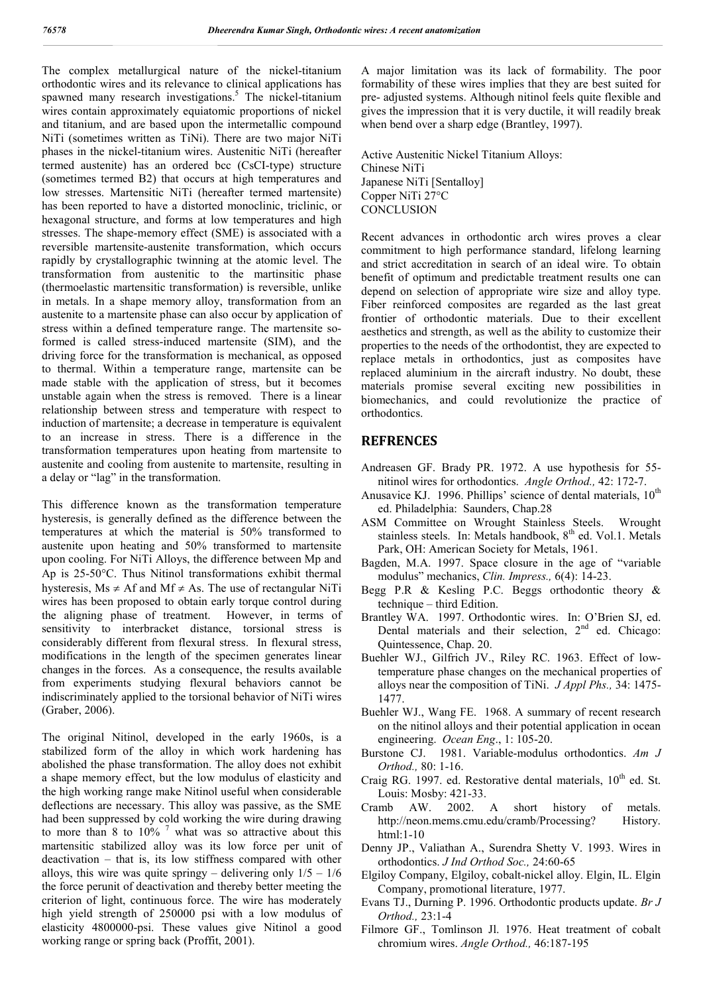The complex metallurgical nature of the nickel-titanium orthodontic wires and its relevance to clinical applications has spawned many research investigations.<sup>5</sup> The nickel-titanium wires contain approximately equiatomic proportions of nickel and titanium, and are based upon the intermetallic compound NiTi (sometimes written as TiNi). There are two major NiTi phases in the nickel-titanium wires. Austenitic NiTi (hereafter termed austenite) has an ordered bcc (CsCI-type) structure (sometimes termed B2) that occurs at high temperatures and low stresses. Martensitic NiTi (hereafter termed martensite) has been reported to have a distorted monoclinic, triclinic, or hexagonal structure, and forms at low temperatures and high stresses. The shape-memory effect (SME) is associated with a reversible martensite-austenite transformation, which occurs rapidly by crystallographic twinning at the atomic level. The transformation from austenitic to the martinsitic phase (thermoelastic martensitic transformation) is reversible, unlike in metals. In a shape memory alloy, transformation from an austenite to a martensite phase can also occur by application of stress within a defined temperature range. The martensite soformed is called stress-induced martensite (SIM), and the driving force for the transformation is mechanical, as opposed to thermal. Within a temperature range, martensite can be made stable with the application of stress, but it becomes unstable again when the stress is removed. There is a linear relationship between stress and temperature with respect to induction of martensite; a decrease in temperature is equivalent to an increase in stress. There is a difference in the transformation temperatures upon heating from martensite to austenite and cooling from austenite to martensite, resulting in a delay or "lag" in the transformation.

This difference known as the transformation temperature hysteresis, is generally defined as the difference between the temperatures at which the material is 50% transformed to austenite upon heating and 50% transformed to martensite upon cooling. For NiTi Alloys, the difference between Mp and Ap is 25-50°C. Thus Nitinol transformations exhibit thermal hysteresis,  $Ms \neq Af$  and  $Mf \neq As$ . The use of rectangular NiTi wires has been proposed to obtain early torque control during the aligning phase of treatment. However, in terms of sensitivity to interbracket distance, torsional stress is considerably different from flexural stress. In flexural stress, modifications in the length of the specimen generates linear changes in the forces. As a consequence, the results available from experiments studying flexural behaviors cannot be indiscriminately applied to the torsional behavior of NiTi wires (Graber, 2006).

The original Nitinol, developed in the early 1960s, is a stabilized form of the alloy in which work hardening has abolished the phase transformation. The alloy does not exhibit a shape memory effect, but the low modulus of elasticity and the high working range make Nitinol useful when considerable deflections are necessary. This alloy was passive, as the SME had been suppressed by cold working the wire during drawing to more than 8 to  $10\%$ <sup>7</sup> what was so attractive about this martensitic stabilized alloy was its low force per unit of deactivation – that is, its low stiffness compared with other alloys, this wire was quite springy – delivering only  $1/5 - 1/6$ the force perunit of deactivation and thereby better meeting the criterion of light, continuous force. The wire has moderately high yield strength of 250000 psi with a low modulus of elasticity 4800000-psi. These values give Nitinol a good working range or spring back (Proffit, 2001).

A major limitation was its lack of formability. The poor formability of these wires implies that they are best suited for pre- adjusted systems. Although nitinol feels quite flexible and gives the impression that it is very ductile, it will readily break when bend over a sharp edge (Brantley, 1997).

Active Austenitic Nickel Titanium Alloys: Chinese NiTi Japanese NiTi [Sentalloy] Copper NiTi 27°C **CONCLUSION** 

Recent advances in orthodontic arch wires proves a clear commitment to high performance standard, lifelong learning and strict accreditation in search of an ideal wire. To obtain benefit of optimum and predictable treatment results one can depend on selection of appropriate wire size and alloy type. Fiber reinforced composites are regarded as the last great frontier of orthodontic materials. Due to their excellent aesthetics and strength, as well as the ability to customize their properties to the needs of the orthodontist, they are expected to replace metals in orthodontics, just as composites have replaced aluminium in the aircraft industry. No doubt, these materials promise several exciting new possibilities in biomechanics, and could revolutionize the practice of orthodontics.

## **REFRENCES**

- Andreasen GF. Brady PR. 1972. A use hypothesis for 55 nitinol wires for orthodontics. *Angle Orthod.,* 42: 172-7.
- Anusavice KJ. 1996. Phillips' science of dental materials,  $10^{th}$ ed. Philadelphia: Saunders, Chap.28
- ASM Committee on Wrought Stainless Steels. Wrought stainless steels. In: Metals handbook, 8<sup>th</sup> ed. Vol.1. Metals Park, OH: American Society for Metals, 1961.
- Bagden, M.A. 1997. Space closure in the age of "variable modulus" mechanics, *Clin. Impress.,* 6(4): 14-23.
- Begg P.R & Kesling P.C. Beggs orthodontic theory & technique – third Edition.
- Brantley WA. 1997. Orthodontic wires. In: O'Brien SJ, ed. Dental materials and their selection,  $2<sup>nd</sup>$  ed. Chicago: Quintessence, Chap. 20.
- Buehler WJ., Gilfrich JV., Riley RC. 1963. Effect of lowtemperature phase changes on the mechanical properties of alloys near the composition of TiNi. *J Appl Phs.,* 34: 1475- 1477.
- Buehler WJ., Wang FE. 1968. A summary of recent research on the nitinol alloys and their potential application in ocean engineering. *Ocean Eng*., 1: 105-20.
- Burstone CJ. 1981. Variable-modulus orthodontics. *Am J Orthod.,* 80: 1-16.
- Craig RG. 1997. ed. Restorative dental materials,  $10^{th}$  ed. St. Louis: Mosby: 421-33.
- Cramb AW. 2002. A short history of metals. http://neon.mems.cmu.edu/cramb/Processing? History. html:1-10
- Denny JP., Valiathan A., Surendra Shetty V. 1993. Wires in orthodontics. *J Ind Orthod Soc.,* 24:60-65
- Elgiloy Company, Elgiloy, cobalt-nickel alloy. Elgin, IL. Elgin Company, promotional literature, 1977.
- Evans TJ., Durning P. 1996. Orthodontic products update. *Br J Orthod.,* 23:1-4
- Filmore GF., Tomlinson Jl. 1976. Heat treatment of cobalt chromium wires. *Angle Orthod.,* 46:187-195